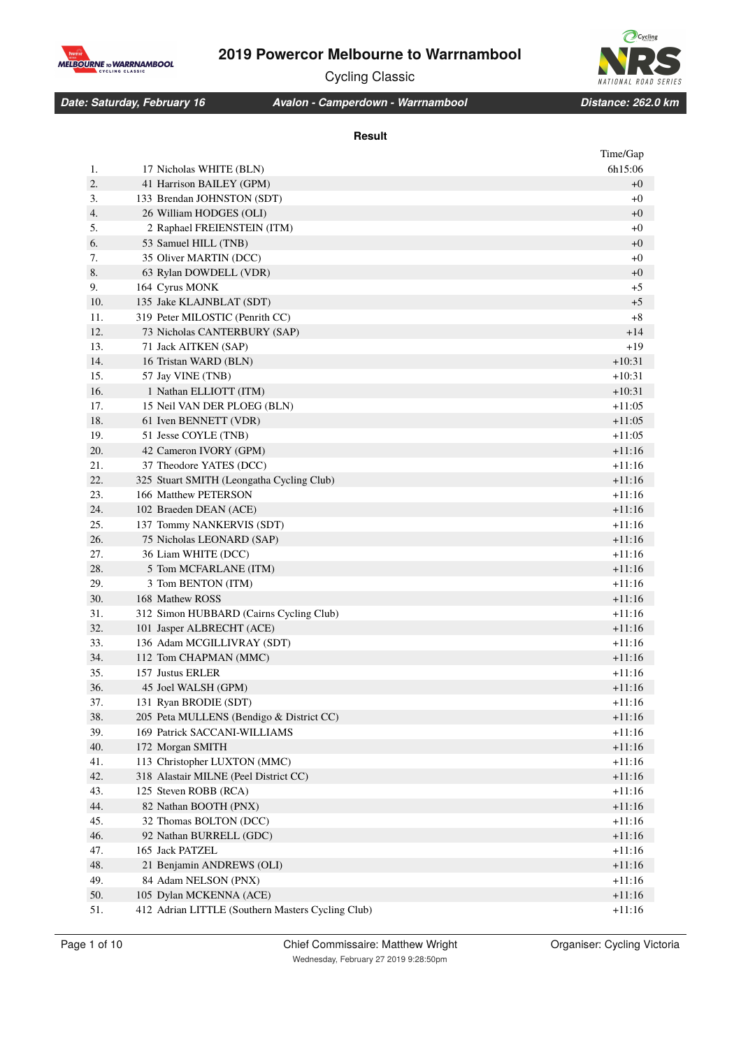

Ocycling **NATIONAL ROAD** SERIES

Cycling Classic

### *Date: Saturday, February 16 Distance: 262.0 km Avalon - Camperdown - Warrnambool*

### **Result**

|     |                                                   | Time/Gap |
|-----|---------------------------------------------------|----------|
| 1.  | 17 Nicholas WHITE (BLN)                           | 6h15:06  |
| 2.  | 41 Harrison BAILEY (GPM)                          | $+0$     |
| 3.  | 133 Brendan JOHNSTON (SDT)                        | $+0$     |
| 4.  | 26 William HODGES (OLI)                           | $+0$     |
| 5.  | 2 Raphael FREIENSTEIN (ITM)                       | $+0$     |
| 6.  | 53 Samuel HILL (TNB)                              | $+0$     |
| 7.  | 35 Oliver MARTIN (DCC)                            | $+0$     |
| 8.  | 63 Rylan DOWDELL (VDR)                            | $+0$     |
| 9.  | 164 Cyrus MONK                                    | $+5$     |
| 10. | 135 Jake KLAJNBLAT (SDT)                          | $+5$     |
| 11. | 319 Peter MILOSTIC (Penrith CC)                   | $+8$     |
| 12. | 73 Nicholas CANTERBURY (SAP)                      | $+14$    |
| 13. | 71 Jack AITKEN (SAP)                              | $+19$    |
| 14. | 16 Tristan WARD (BLN)                             | $+10:31$ |
| 15. | 57 Jay VINE (TNB)                                 | $+10:31$ |
| 16. | 1 Nathan ELLIOTT (ITM)                            | $+10:31$ |
| 17. | 15 Neil VAN DER PLOEG (BLN)                       | +11:05   |
| 18. | 61 Iven BENNETT (VDR)                             | $+11:05$ |
| 19. | 51 Jesse COYLE (TNB)                              | $+11:05$ |
| 20. | 42 Cameron IVORY (GPM)                            | +11:16   |
| 21. | 37 Theodore YATES (DCC)                           | $+11:16$ |
| 22. | 325 Stuart SMITH (Leongatha Cycling Club)         | $+11:16$ |
| 23. | 166 Matthew PETERSON                              | $+11:16$ |
| 24. | 102 Braeden DEAN (ACE)                            | $+11:16$ |
| 25. | 137 Tommy NANKERVIS (SDT)                         | +11:16   |
| 26. | 75 Nicholas LEONARD (SAP)                         | $+11:16$ |
| 27. | 36 Liam WHITE (DCC)                               | $+11:16$ |
| 28. | 5 Tom MCFARLANE (ITM)                             | +11:16   |
| 29. | 3 Tom BENTON (ITM)                                | +11:16   |
| 30. | 168 Mathew ROSS                                   | +11:16   |
| 31. | 312 Simon HUBBARD (Cairns Cycling Club)           | +11:16   |
| 32. | 101 Jasper ALBRECHT (ACE)                         | +11:16   |
| 33. | 136 Adam MCGILLIVRAY (SDT)                        | $+11:16$ |
| 34. | 112 Tom CHAPMAN (MMC)                             | +11:16   |
| 35. | 157 Justus ERLER                                  | $+11:16$ |
| 36. | 45 Joel WALSH (GPM)                               | +11:16   |
| 37. | 131 Ryan BRODIE (SDT)                             | +11:16   |
| 38. | 205 Peta MULLENS (Bendigo & District CC)          | $+11:16$ |
| 39. | 169 Patrick SACCANI-WILLIAMS                      | $+11:16$ |
| 40. | 172 Morgan SMITH                                  | $+11:16$ |
| 41. | 113 Christopher LUXTON (MMC)                      | $+11:16$ |
| 42. | 318 Alastair MILNE (Peel District CC)             | $+11:16$ |
| 43. | 125 Steven ROBB (RCA)                             | $+11:16$ |
| 44. | 82 Nathan BOOTH (PNX)                             | $+11:16$ |
| 45. | 32 Thomas BOLTON (DCC)                            | $+11:16$ |
| 46. | 92 Nathan BURRELL (GDC)                           | $+11:16$ |
| 47. | 165 Jack PATZEL                                   | $+11:16$ |
| 48. | 21 Benjamin ANDREWS (OLI)                         | $+11:16$ |
| 49. | 84 Adam NELSON (PNX)                              | $+11:16$ |
| 50. | 105 Dylan MCKENNA (ACE)                           | $+11:16$ |
| 51. | 412 Adrian LITTLE (Southern Masters Cycling Club) | $+11:16$ |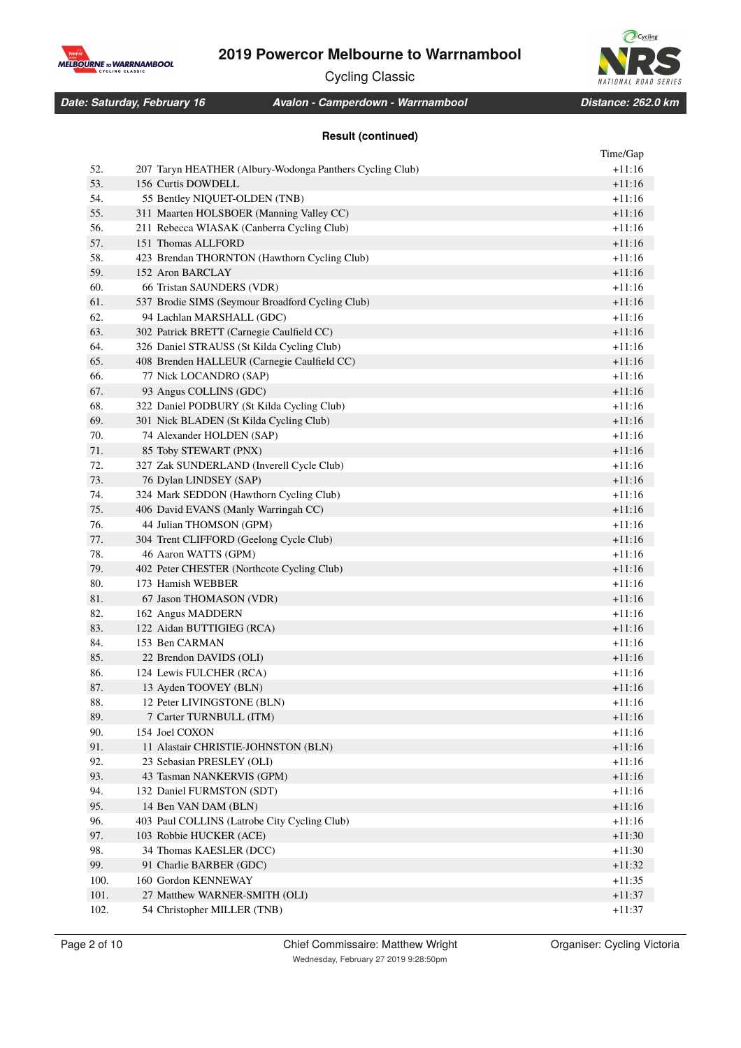

Cycling Classic

*Date: Saturday, February 16 Distance: 262.0 km Avalon - Camperdown - Warrnambool*

## **Result (continued)**

|      |                                                          | Time/Gap |
|------|----------------------------------------------------------|----------|
| 52.  | 207 Taryn HEATHER (Albury-Wodonga Panthers Cycling Club) | $+11:16$ |
| 53.  | 156 Curtis DOWDELL                                       | $+11:16$ |
| 54.  | 55 Bentley NIQUET-OLDEN (TNB)                            | $+11:16$ |
| 55.  | 311 Maarten HOLSBOER (Manning Valley CC)                 | $+11:16$ |
| 56.  | 211 Rebecca WIASAK (Canberra Cycling Club)               | $+11:16$ |
| 57.  | 151 Thomas ALLFORD                                       | $+11:16$ |
| 58.  | 423 Brendan THORNTON (Hawthorn Cycling Club)             | $+11:16$ |
| 59.  | 152 Aron BARCLAY                                         | $+11:16$ |
| 60.  | 66 Tristan SAUNDERS (VDR)                                | $+11:16$ |
| 61.  | 537 Brodie SIMS (Seymour Broadford Cycling Club)         | $+11:16$ |
| 62.  | 94 Lachlan MARSHALL (GDC)                                | $+11:16$ |
| 63.  | 302 Patrick BRETT (Carnegie Caulfield CC)                | $+11:16$ |
| 64.  | 326 Daniel STRAUSS (St Kilda Cycling Club)               | $+11:16$ |
| 65.  | 408 Brenden HALLEUR (Carnegie Caulfield CC)              | $+11:16$ |
| 66.  | 77 Nick LOCANDRO (SAP)                                   | $+11:16$ |
| 67.  | 93 Angus COLLINS (GDC)                                   | $+11:16$ |
| 68.  | 322 Daniel PODBURY (St Kilda Cycling Club)               | $+11:16$ |
| 69.  | 301 Nick BLADEN (St Kilda Cycling Club)                  | $+11:16$ |
| 70.  | 74 Alexander HOLDEN (SAP)                                | $+11:16$ |
| 71.  | 85 Toby STEWART (PNX)                                    | $+11:16$ |
| 72.  | 327 Zak SUNDERLAND (Inverell Cycle Club)                 | $+11:16$ |
| 73.  | 76 Dylan LINDSEY (SAP)                                   | $+11:16$ |
| 74.  | 324 Mark SEDDON (Hawthorn Cycling Club)                  | $+11:16$ |
| 75.  | 406 David EVANS (Manly Warringah CC)                     | $+11:16$ |
| 76.  | 44 Julian THOMSON (GPM)                                  | $+11:16$ |
| 77.  | 304 Trent CLIFFORD (Geelong Cycle Club)                  | $+11:16$ |
| 78.  | 46 Aaron WATTS (GPM)                                     | $+11:16$ |
| 79.  | 402 Peter CHESTER (Northcote Cycling Club)               | $+11:16$ |
| 80.  | 173 Hamish WEBBER                                        | $+11:16$ |
| 81.  | 67 Jason THOMASON (VDR)                                  | $+11:16$ |
| 82.  | 162 Angus MADDERN                                        | $+11:16$ |
| 83.  | 122 Aidan BUTTIGIEG (RCA)                                | $+11:16$ |
| 84.  | 153 Ben CARMAN                                           | $+11:16$ |
| 85.  | 22 Brendon DAVIDS (OLI)                                  | $+11:16$ |
| 86.  | 124 Lewis FULCHER (RCA)                                  | $+11:16$ |
| 87.  | 13 Ayden TOOVEY (BLN)                                    | $+11:16$ |
| 88.  | 12 Peter LIVINGSTONE (BLN)                               | +11:16   |
| 89.  | 7 Carter TURNBULL (ITM)                                  | $+11:16$ |
| 90.  | 154 Joel COXON                                           | $+11:16$ |
| 91.  | 11 Alastair CHRISTIE-JOHNSTON (BLN)                      | $+11:16$ |
| 92.  | 23 Sebasian PRESLEY (OLI)                                | $+11:16$ |
| 93.  | 43 Tasman NANKERVIS (GPM)                                | $+11:16$ |
| 94.  | 132 Daniel FURMSTON (SDT)                                | $+11:16$ |
| 95.  | 14 Ben VAN DAM (BLN)                                     | $+11:16$ |
| 96.  | 403 Paul COLLINS (Latrobe City Cycling Club)             | $+11:16$ |
| 97.  | 103 Robbie HUCKER (ACE)                                  | $+11:30$ |
| 98.  | 34 Thomas KAESLER (DCC)                                  | $+11:30$ |
| 99.  | 91 Charlie BARBER (GDC)                                  | +11:32   |
| 100. | 160 Gordon KENNEWAY                                      | $+11:35$ |
| 101. | 27 Matthew WARNER-SMITH (OLI)                            | $+11:37$ |
| 102. | 54 Christopher MILLER (TNB)                              | $+11:37$ |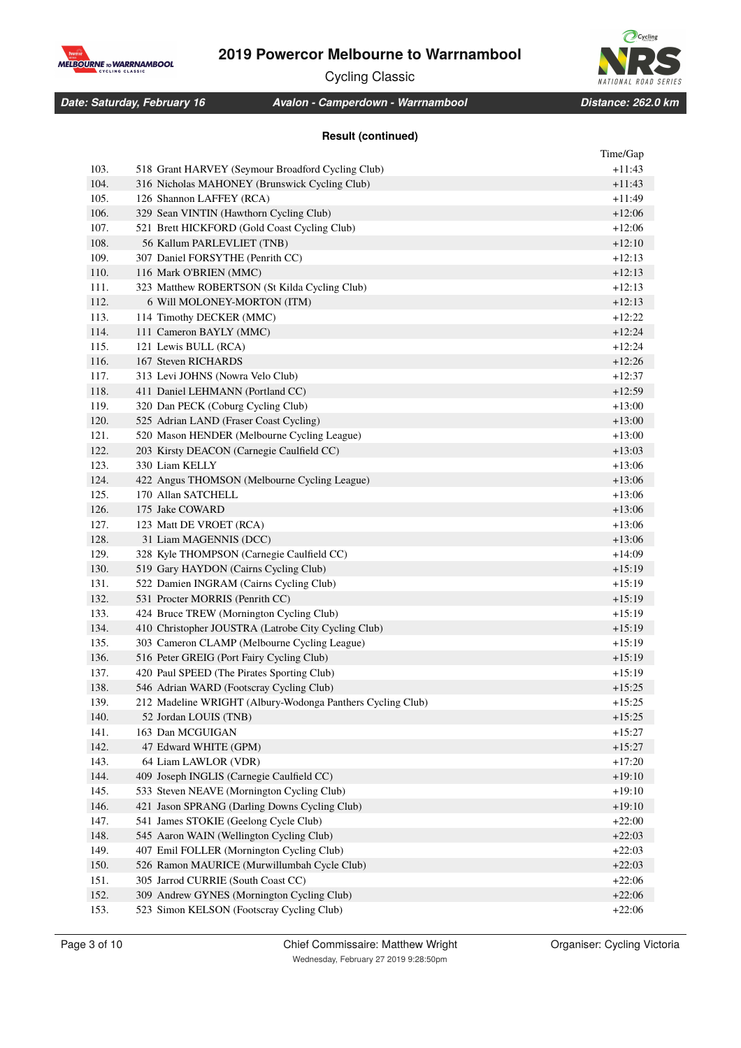

Cycling Classic

*Date: Saturday, February 16 Distance: 262.0 km Avalon - Camperdown - Warrnambool*

### **Result (continued)**

|      |                                                            | Time/Gap |
|------|------------------------------------------------------------|----------|
| 103. | 518 Grant HARVEY (Seymour Broadford Cycling Club)          | $+11:43$ |
| 104. | 316 Nicholas MAHONEY (Brunswick Cycling Club)              | $+11:43$ |
| 105. | 126 Shannon LAFFEY (RCA)                                   | +11:49   |
| 106. | 329 Sean VINTIN (Hawthorn Cycling Club)                    | $+12:06$ |
| 107. | 521 Brett HICKFORD (Gold Coast Cycling Club)               | $+12:06$ |
| 108. | 56 Kallum PARLEVLIET (TNB)                                 | $+12:10$ |
| 109. | 307 Daniel FORSYTHE (Penrith CC)                           | $+12:13$ |
| 110. | 116 Mark O'BRIEN (MMC)                                     | $+12:13$ |
| 111. | 323 Matthew ROBERTSON (St Kilda Cycling Club)              | $+12:13$ |
| 112. | 6 Will MOLONEY-MORTON (ITM)                                | $+12:13$ |
| 113. | 114 Timothy DECKER (MMC)                                   | $+12:22$ |
| 114. | 111 Cameron BAYLY (MMC)                                    | $+12:24$ |
| 115. | 121 Lewis BULL (RCA)                                       | $+12:24$ |
| 116. | 167 Steven RICHARDS                                        | $+12:26$ |
| 117. | 313 Levi JOHNS (Nowra Velo Club)                           | $+12:37$ |
| 118. | 411 Daniel LEHMANN (Portland CC)                           | $+12:59$ |
| 119. | 320 Dan PECK (Coburg Cycling Club)                         | $+13:00$ |
| 120. | 525 Adrian LAND (Fraser Coast Cycling)                     | $+13:00$ |
| 121. | 520 Mason HENDER (Melbourne Cycling League)                | $+13:00$ |
| 122. | 203 Kirsty DEACON (Carnegie Caulfield CC)                  | $+13:03$ |
| 123. | 330 Liam KELLY                                             | $+13:06$ |
| 124. | 422 Angus THOMSON (Melbourne Cycling League)               | +13:06   |
| 125. | 170 Allan SATCHELL                                         | $+13:06$ |
| 126. | 175 Jake COWARD                                            | +13:06   |
| 127. | 123 Matt DE VROET (RCA)                                    | $+13:06$ |
| 128. | 31 Liam MAGENNIS (DCC)                                     | +13:06   |
| 129. | 328 Kyle THOMPSON (Carnegie Caulfield CC)                  | +14:09   |
| 130. | 519 Gary HAYDON (Cairns Cycling Club)                      | +15:19   |
| 131. | 522 Damien INGRAM (Cairns Cycling Club)                    | $+15:19$ |
| 132. | 531 Procter MORRIS (Penrith CC)                            | $+15:19$ |
| 133. | 424 Bruce TREW (Mornington Cycling Club)                   | $+15:19$ |
| 134. | 410 Christopher JOUSTRA (Latrobe City Cycling Club)        | $+15:19$ |
| 135. | 303 Cameron CLAMP (Melbourne Cycling League)               | $+15:19$ |
| 136. | 516 Peter GREIG (Port Fairy Cycling Club)                  | $+15:19$ |
| 137. | 420 Paul SPEED (The Pirates Sporting Club)                 | $+15:19$ |
| 138. | 546 Adrian WARD (Footscray Cycling Club)                   | $+15:25$ |
| 139. | 212 Madeline WRIGHT (Albury-Wodonga Panthers Cycling Club) | $+15:25$ |
| 140. | 52 Jordan LOUIS (TNB)                                      | $+15:25$ |
| 141. | 163 Dan MCGUIGAN                                           | $+15:27$ |
| 142. | 47 Edward WHITE (GPM)                                      | $+15:27$ |
| 143. | 64 Liam LAWLOR (VDR)                                       | $+17:20$ |
| 144. | 409 Joseph INGLIS (Carnegie Caulfield CC)                  | $+19:10$ |
| 145. | 533 Steven NEAVE (Mornington Cycling Club)                 | $+19:10$ |
| 146. | 421 Jason SPRANG (Darling Downs Cycling Club)              | $+19:10$ |
| 147. | 541 James STOKIE (Geelong Cycle Club)                      | $+22:00$ |
| 148. | 545 Aaron WAIN (Wellington Cycling Club)                   | $+22:03$ |
| 149. | 407 Emil FOLLER (Mornington Cycling Club)                  | $+22:03$ |
| 150. | 526 Ramon MAURICE (Murwillumbah Cycle Club)                | $+22:03$ |
| 151. | 305 Jarrod CURRIE (South Coast CC)                         | $+22:06$ |
| 152. | 309 Andrew GYNES (Mornington Cycling Club)                 | $+22:06$ |
| 153. | 523 Simon KELSON (Footscray Cycling Club)                  | $+22:06$ |
|      |                                                            |          |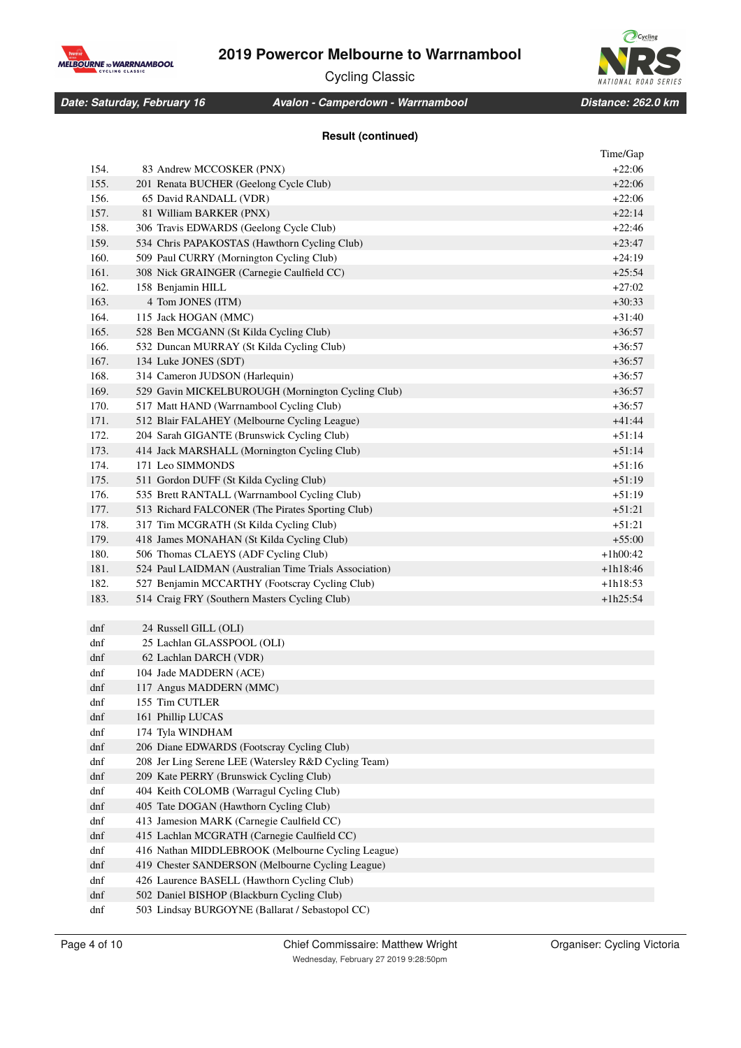

Cycling Classic



*Date: Saturday, February 16 Distance: 262.0 km Avalon - Camperdown - Warrnambool*

### **Result (continued)**

| 154.<br>83 Andrew MCCOSKER (PNX)<br>$+22:06$<br>155.<br>201 Renata BUCHER (Geelong Cycle Club)<br>$+22:06$<br>156.<br>65 David RANDALL (VDR)<br>$+22:06$<br>157.<br>81 William BARKER (PNX)<br>$+22:14$<br>158.<br>306 Travis EDWARDS (Geelong Cycle Club)<br>$+22:46$<br>159.<br>534 Chris PAPAKOSTAS (Hawthorn Cycling Club)<br>$+23:47$<br>160.<br>509 Paul CURRY (Mornington Cycling Club)<br>$+24:19$<br>161.<br>308 Nick GRAINGER (Carnegie Caulfield CC)<br>$+25:54$<br>162.<br>$+27:02$<br>158 Benjamin HILL<br>163.<br>4 Tom JONES (ITM)<br>$+30:33$<br>164.<br>115 Jack HOGAN (MMC)<br>$+31:40$<br>165.<br>528 Ben MCGANN (St Kilda Cycling Club)<br>+36:57<br>166.<br>532 Duncan MURRAY (St Kilda Cycling Club)<br>$+36:57$<br>167.<br>134 Luke JONES (SDT)<br>+36:57<br>168.<br>314 Cameron JUDSON (Harlequin)<br>$+36:57$<br>169.<br>529 Gavin MICKELBUROUGH (Mornington Cycling Club)<br>+36:57<br>170.<br>517 Matt HAND (Warrnambool Cycling Club)<br>$+36:57$<br>171.<br>512 Blair FALAHEY (Melbourne Cycling League)<br>+41:44<br>172.<br>204 Sarah GIGANTE (Brunswick Cycling Club)<br>$+51:14$<br>173.<br>+51:14<br>414 Jack MARSHALL (Mornington Cycling Club)<br>174.<br>171 Leo SIMMONDS<br>$+51:16$<br>175.<br>511 Gordon DUFF (St Kilda Cycling Club)<br>+51:19<br>535 Brett RANTALL (Warrnambool Cycling Club)<br>176.<br>$+51:19$<br>177.<br>$+51:21$<br>513 Richard FALCONER (The Pirates Sporting Club)<br>$+51:21$<br>178.<br>317 Tim MCGRATH (St Kilda Cycling Club)<br>179.<br>$+55:00$<br>418 James MONAHAN (St Kilda Cycling Club)<br>180.<br>506 Thomas CLAEYS (ADF Cycling Club)<br>$+1h00:42$<br>181.<br>524 Paul LAIDMAN (Australian Time Trials Association)<br>$+1h18:46$<br>182.<br>527 Benjamin MCCARTHY (Footscray Cycling Club)<br>$+1h18:53$<br>183.<br>$+1h25:54$<br>514 Craig FRY (Southern Masters Cycling Club)<br>dnf<br>24 Russell GILL (OLI)<br>dnf<br>25 Lachlan GLASSPOOL (OLI)<br>dnf<br>62 Lachlan DARCH (VDR)<br>dnf<br>104 Jade MADDERN (ACE)<br>dnf<br>117 Angus MADDERN (MMC)<br>dnf<br>155 Tim CUTLER<br>dnf<br>161 Phillip LUCAS<br>174 Tyla WINDHAM<br>dnf<br>dnf<br>206 Diane EDWARDS (Footscray Cycling Club)<br>dnf<br>208 Jer Ling Serene LEE (Watersley R&D Cycling Team)<br>dnf<br>209 Kate PERRY (Brunswick Cycling Club)<br>dnf<br>404 Keith COLOMB (Warragul Cycling Club)<br>405 Tate DOGAN (Hawthorn Cycling Club)<br>dnf<br>dnf<br>413 Jamesion MARK (Carnegie Caulfield CC)<br>415 Lachlan MCGRATH (Carnegie Caulfield CC)<br>dnf<br>416 Nathan MIDDLEBROOK (Melbourne Cycling League)<br>dnf<br>dnf<br>419 Chester SANDERSON (Melbourne Cycling League)<br>dnf<br>426 Laurence BASELL (Hawthorn Cycling Club)<br>dnf<br>502 Daniel BISHOP (Blackburn Cycling Club)<br>503 Lindsay BURGOYNE (Ballarat / Sebastopol CC)<br>dnf |  | Time/Gap |
|----------------------------------------------------------------------------------------------------------------------------------------------------------------------------------------------------------------------------------------------------------------------------------------------------------------------------------------------------------------------------------------------------------------------------------------------------------------------------------------------------------------------------------------------------------------------------------------------------------------------------------------------------------------------------------------------------------------------------------------------------------------------------------------------------------------------------------------------------------------------------------------------------------------------------------------------------------------------------------------------------------------------------------------------------------------------------------------------------------------------------------------------------------------------------------------------------------------------------------------------------------------------------------------------------------------------------------------------------------------------------------------------------------------------------------------------------------------------------------------------------------------------------------------------------------------------------------------------------------------------------------------------------------------------------------------------------------------------------------------------------------------------------------------------------------------------------------------------------------------------------------------------------------------------------------------------------------------------------------------------------------------------------------------------------------------------------------------------------------------------------------------------------------------------------------------------------------------------------------------------------------------------------------------------------------------------------------------------------------------------------------------------------------------------------------------------------------------------------------------------------------------------------------------------------------------------------------------------------------------------------------------------------------------------------------------------------------------------------------------------------------------------------------------------------------|--|----------|
|                                                                                                                                                                                                                                                                                                                                                                                                                                                                                                                                                                                                                                                                                                                                                                                                                                                                                                                                                                                                                                                                                                                                                                                                                                                                                                                                                                                                                                                                                                                                                                                                                                                                                                                                                                                                                                                                                                                                                                                                                                                                                                                                                                                                                                                                                                                                                                                                                                                                                                                                                                                                                                                                                                                                                                                                          |  |          |
|                                                                                                                                                                                                                                                                                                                                                                                                                                                                                                                                                                                                                                                                                                                                                                                                                                                                                                                                                                                                                                                                                                                                                                                                                                                                                                                                                                                                                                                                                                                                                                                                                                                                                                                                                                                                                                                                                                                                                                                                                                                                                                                                                                                                                                                                                                                                                                                                                                                                                                                                                                                                                                                                                                                                                                                                          |  |          |
|                                                                                                                                                                                                                                                                                                                                                                                                                                                                                                                                                                                                                                                                                                                                                                                                                                                                                                                                                                                                                                                                                                                                                                                                                                                                                                                                                                                                                                                                                                                                                                                                                                                                                                                                                                                                                                                                                                                                                                                                                                                                                                                                                                                                                                                                                                                                                                                                                                                                                                                                                                                                                                                                                                                                                                                                          |  |          |
|                                                                                                                                                                                                                                                                                                                                                                                                                                                                                                                                                                                                                                                                                                                                                                                                                                                                                                                                                                                                                                                                                                                                                                                                                                                                                                                                                                                                                                                                                                                                                                                                                                                                                                                                                                                                                                                                                                                                                                                                                                                                                                                                                                                                                                                                                                                                                                                                                                                                                                                                                                                                                                                                                                                                                                                                          |  |          |
|                                                                                                                                                                                                                                                                                                                                                                                                                                                                                                                                                                                                                                                                                                                                                                                                                                                                                                                                                                                                                                                                                                                                                                                                                                                                                                                                                                                                                                                                                                                                                                                                                                                                                                                                                                                                                                                                                                                                                                                                                                                                                                                                                                                                                                                                                                                                                                                                                                                                                                                                                                                                                                                                                                                                                                                                          |  |          |
|                                                                                                                                                                                                                                                                                                                                                                                                                                                                                                                                                                                                                                                                                                                                                                                                                                                                                                                                                                                                                                                                                                                                                                                                                                                                                                                                                                                                                                                                                                                                                                                                                                                                                                                                                                                                                                                                                                                                                                                                                                                                                                                                                                                                                                                                                                                                                                                                                                                                                                                                                                                                                                                                                                                                                                                                          |  |          |
|                                                                                                                                                                                                                                                                                                                                                                                                                                                                                                                                                                                                                                                                                                                                                                                                                                                                                                                                                                                                                                                                                                                                                                                                                                                                                                                                                                                                                                                                                                                                                                                                                                                                                                                                                                                                                                                                                                                                                                                                                                                                                                                                                                                                                                                                                                                                                                                                                                                                                                                                                                                                                                                                                                                                                                                                          |  |          |
|                                                                                                                                                                                                                                                                                                                                                                                                                                                                                                                                                                                                                                                                                                                                                                                                                                                                                                                                                                                                                                                                                                                                                                                                                                                                                                                                                                                                                                                                                                                                                                                                                                                                                                                                                                                                                                                                                                                                                                                                                                                                                                                                                                                                                                                                                                                                                                                                                                                                                                                                                                                                                                                                                                                                                                                                          |  |          |
|                                                                                                                                                                                                                                                                                                                                                                                                                                                                                                                                                                                                                                                                                                                                                                                                                                                                                                                                                                                                                                                                                                                                                                                                                                                                                                                                                                                                                                                                                                                                                                                                                                                                                                                                                                                                                                                                                                                                                                                                                                                                                                                                                                                                                                                                                                                                                                                                                                                                                                                                                                                                                                                                                                                                                                                                          |  |          |
|                                                                                                                                                                                                                                                                                                                                                                                                                                                                                                                                                                                                                                                                                                                                                                                                                                                                                                                                                                                                                                                                                                                                                                                                                                                                                                                                                                                                                                                                                                                                                                                                                                                                                                                                                                                                                                                                                                                                                                                                                                                                                                                                                                                                                                                                                                                                                                                                                                                                                                                                                                                                                                                                                                                                                                                                          |  |          |
|                                                                                                                                                                                                                                                                                                                                                                                                                                                                                                                                                                                                                                                                                                                                                                                                                                                                                                                                                                                                                                                                                                                                                                                                                                                                                                                                                                                                                                                                                                                                                                                                                                                                                                                                                                                                                                                                                                                                                                                                                                                                                                                                                                                                                                                                                                                                                                                                                                                                                                                                                                                                                                                                                                                                                                                                          |  |          |
|                                                                                                                                                                                                                                                                                                                                                                                                                                                                                                                                                                                                                                                                                                                                                                                                                                                                                                                                                                                                                                                                                                                                                                                                                                                                                                                                                                                                                                                                                                                                                                                                                                                                                                                                                                                                                                                                                                                                                                                                                                                                                                                                                                                                                                                                                                                                                                                                                                                                                                                                                                                                                                                                                                                                                                                                          |  |          |
|                                                                                                                                                                                                                                                                                                                                                                                                                                                                                                                                                                                                                                                                                                                                                                                                                                                                                                                                                                                                                                                                                                                                                                                                                                                                                                                                                                                                                                                                                                                                                                                                                                                                                                                                                                                                                                                                                                                                                                                                                                                                                                                                                                                                                                                                                                                                                                                                                                                                                                                                                                                                                                                                                                                                                                                                          |  |          |
|                                                                                                                                                                                                                                                                                                                                                                                                                                                                                                                                                                                                                                                                                                                                                                                                                                                                                                                                                                                                                                                                                                                                                                                                                                                                                                                                                                                                                                                                                                                                                                                                                                                                                                                                                                                                                                                                                                                                                                                                                                                                                                                                                                                                                                                                                                                                                                                                                                                                                                                                                                                                                                                                                                                                                                                                          |  |          |
|                                                                                                                                                                                                                                                                                                                                                                                                                                                                                                                                                                                                                                                                                                                                                                                                                                                                                                                                                                                                                                                                                                                                                                                                                                                                                                                                                                                                                                                                                                                                                                                                                                                                                                                                                                                                                                                                                                                                                                                                                                                                                                                                                                                                                                                                                                                                                                                                                                                                                                                                                                                                                                                                                                                                                                                                          |  |          |
|                                                                                                                                                                                                                                                                                                                                                                                                                                                                                                                                                                                                                                                                                                                                                                                                                                                                                                                                                                                                                                                                                                                                                                                                                                                                                                                                                                                                                                                                                                                                                                                                                                                                                                                                                                                                                                                                                                                                                                                                                                                                                                                                                                                                                                                                                                                                                                                                                                                                                                                                                                                                                                                                                                                                                                                                          |  |          |
|                                                                                                                                                                                                                                                                                                                                                                                                                                                                                                                                                                                                                                                                                                                                                                                                                                                                                                                                                                                                                                                                                                                                                                                                                                                                                                                                                                                                                                                                                                                                                                                                                                                                                                                                                                                                                                                                                                                                                                                                                                                                                                                                                                                                                                                                                                                                                                                                                                                                                                                                                                                                                                                                                                                                                                                                          |  |          |
|                                                                                                                                                                                                                                                                                                                                                                                                                                                                                                                                                                                                                                                                                                                                                                                                                                                                                                                                                                                                                                                                                                                                                                                                                                                                                                                                                                                                                                                                                                                                                                                                                                                                                                                                                                                                                                                                                                                                                                                                                                                                                                                                                                                                                                                                                                                                                                                                                                                                                                                                                                                                                                                                                                                                                                                                          |  |          |
|                                                                                                                                                                                                                                                                                                                                                                                                                                                                                                                                                                                                                                                                                                                                                                                                                                                                                                                                                                                                                                                                                                                                                                                                                                                                                                                                                                                                                                                                                                                                                                                                                                                                                                                                                                                                                                                                                                                                                                                                                                                                                                                                                                                                                                                                                                                                                                                                                                                                                                                                                                                                                                                                                                                                                                                                          |  |          |
|                                                                                                                                                                                                                                                                                                                                                                                                                                                                                                                                                                                                                                                                                                                                                                                                                                                                                                                                                                                                                                                                                                                                                                                                                                                                                                                                                                                                                                                                                                                                                                                                                                                                                                                                                                                                                                                                                                                                                                                                                                                                                                                                                                                                                                                                                                                                                                                                                                                                                                                                                                                                                                                                                                                                                                                                          |  |          |
|                                                                                                                                                                                                                                                                                                                                                                                                                                                                                                                                                                                                                                                                                                                                                                                                                                                                                                                                                                                                                                                                                                                                                                                                                                                                                                                                                                                                                                                                                                                                                                                                                                                                                                                                                                                                                                                                                                                                                                                                                                                                                                                                                                                                                                                                                                                                                                                                                                                                                                                                                                                                                                                                                                                                                                                                          |  |          |
|                                                                                                                                                                                                                                                                                                                                                                                                                                                                                                                                                                                                                                                                                                                                                                                                                                                                                                                                                                                                                                                                                                                                                                                                                                                                                                                                                                                                                                                                                                                                                                                                                                                                                                                                                                                                                                                                                                                                                                                                                                                                                                                                                                                                                                                                                                                                                                                                                                                                                                                                                                                                                                                                                                                                                                                                          |  |          |
|                                                                                                                                                                                                                                                                                                                                                                                                                                                                                                                                                                                                                                                                                                                                                                                                                                                                                                                                                                                                                                                                                                                                                                                                                                                                                                                                                                                                                                                                                                                                                                                                                                                                                                                                                                                                                                                                                                                                                                                                                                                                                                                                                                                                                                                                                                                                                                                                                                                                                                                                                                                                                                                                                                                                                                                                          |  |          |
|                                                                                                                                                                                                                                                                                                                                                                                                                                                                                                                                                                                                                                                                                                                                                                                                                                                                                                                                                                                                                                                                                                                                                                                                                                                                                                                                                                                                                                                                                                                                                                                                                                                                                                                                                                                                                                                                                                                                                                                                                                                                                                                                                                                                                                                                                                                                                                                                                                                                                                                                                                                                                                                                                                                                                                                                          |  |          |
|                                                                                                                                                                                                                                                                                                                                                                                                                                                                                                                                                                                                                                                                                                                                                                                                                                                                                                                                                                                                                                                                                                                                                                                                                                                                                                                                                                                                                                                                                                                                                                                                                                                                                                                                                                                                                                                                                                                                                                                                                                                                                                                                                                                                                                                                                                                                                                                                                                                                                                                                                                                                                                                                                                                                                                                                          |  |          |
|                                                                                                                                                                                                                                                                                                                                                                                                                                                                                                                                                                                                                                                                                                                                                                                                                                                                                                                                                                                                                                                                                                                                                                                                                                                                                                                                                                                                                                                                                                                                                                                                                                                                                                                                                                                                                                                                                                                                                                                                                                                                                                                                                                                                                                                                                                                                                                                                                                                                                                                                                                                                                                                                                                                                                                                                          |  |          |
|                                                                                                                                                                                                                                                                                                                                                                                                                                                                                                                                                                                                                                                                                                                                                                                                                                                                                                                                                                                                                                                                                                                                                                                                                                                                                                                                                                                                                                                                                                                                                                                                                                                                                                                                                                                                                                                                                                                                                                                                                                                                                                                                                                                                                                                                                                                                                                                                                                                                                                                                                                                                                                                                                                                                                                                                          |  |          |
|                                                                                                                                                                                                                                                                                                                                                                                                                                                                                                                                                                                                                                                                                                                                                                                                                                                                                                                                                                                                                                                                                                                                                                                                                                                                                                                                                                                                                                                                                                                                                                                                                                                                                                                                                                                                                                                                                                                                                                                                                                                                                                                                                                                                                                                                                                                                                                                                                                                                                                                                                                                                                                                                                                                                                                                                          |  |          |
|                                                                                                                                                                                                                                                                                                                                                                                                                                                                                                                                                                                                                                                                                                                                                                                                                                                                                                                                                                                                                                                                                                                                                                                                                                                                                                                                                                                                                                                                                                                                                                                                                                                                                                                                                                                                                                                                                                                                                                                                                                                                                                                                                                                                                                                                                                                                                                                                                                                                                                                                                                                                                                                                                                                                                                                                          |  |          |
|                                                                                                                                                                                                                                                                                                                                                                                                                                                                                                                                                                                                                                                                                                                                                                                                                                                                                                                                                                                                                                                                                                                                                                                                                                                                                                                                                                                                                                                                                                                                                                                                                                                                                                                                                                                                                                                                                                                                                                                                                                                                                                                                                                                                                                                                                                                                                                                                                                                                                                                                                                                                                                                                                                                                                                                                          |  |          |
|                                                                                                                                                                                                                                                                                                                                                                                                                                                                                                                                                                                                                                                                                                                                                                                                                                                                                                                                                                                                                                                                                                                                                                                                                                                                                                                                                                                                                                                                                                                                                                                                                                                                                                                                                                                                                                                                                                                                                                                                                                                                                                                                                                                                                                                                                                                                                                                                                                                                                                                                                                                                                                                                                                                                                                                                          |  |          |
|                                                                                                                                                                                                                                                                                                                                                                                                                                                                                                                                                                                                                                                                                                                                                                                                                                                                                                                                                                                                                                                                                                                                                                                                                                                                                                                                                                                                                                                                                                                                                                                                                                                                                                                                                                                                                                                                                                                                                                                                                                                                                                                                                                                                                                                                                                                                                                                                                                                                                                                                                                                                                                                                                                                                                                                                          |  |          |
|                                                                                                                                                                                                                                                                                                                                                                                                                                                                                                                                                                                                                                                                                                                                                                                                                                                                                                                                                                                                                                                                                                                                                                                                                                                                                                                                                                                                                                                                                                                                                                                                                                                                                                                                                                                                                                                                                                                                                                                                                                                                                                                                                                                                                                                                                                                                                                                                                                                                                                                                                                                                                                                                                                                                                                                                          |  |          |
|                                                                                                                                                                                                                                                                                                                                                                                                                                                                                                                                                                                                                                                                                                                                                                                                                                                                                                                                                                                                                                                                                                                                                                                                                                                                                                                                                                                                                                                                                                                                                                                                                                                                                                                                                                                                                                                                                                                                                                                                                                                                                                                                                                                                                                                                                                                                                                                                                                                                                                                                                                                                                                                                                                                                                                                                          |  |          |
|                                                                                                                                                                                                                                                                                                                                                                                                                                                                                                                                                                                                                                                                                                                                                                                                                                                                                                                                                                                                                                                                                                                                                                                                                                                                                                                                                                                                                                                                                                                                                                                                                                                                                                                                                                                                                                                                                                                                                                                                                                                                                                                                                                                                                                                                                                                                                                                                                                                                                                                                                                                                                                                                                                                                                                                                          |  |          |
|                                                                                                                                                                                                                                                                                                                                                                                                                                                                                                                                                                                                                                                                                                                                                                                                                                                                                                                                                                                                                                                                                                                                                                                                                                                                                                                                                                                                                                                                                                                                                                                                                                                                                                                                                                                                                                                                                                                                                                                                                                                                                                                                                                                                                                                                                                                                                                                                                                                                                                                                                                                                                                                                                                                                                                                                          |  |          |
|                                                                                                                                                                                                                                                                                                                                                                                                                                                                                                                                                                                                                                                                                                                                                                                                                                                                                                                                                                                                                                                                                                                                                                                                                                                                                                                                                                                                                                                                                                                                                                                                                                                                                                                                                                                                                                                                                                                                                                                                                                                                                                                                                                                                                                                                                                                                                                                                                                                                                                                                                                                                                                                                                                                                                                                                          |  |          |
|                                                                                                                                                                                                                                                                                                                                                                                                                                                                                                                                                                                                                                                                                                                                                                                                                                                                                                                                                                                                                                                                                                                                                                                                                                                                                                                                                                                                                                                                                                                                                                                                                                                                                                                                                                                                                                                                                                                                                                                                                                                                                                                                                                                                                                                                                                                                                                                                                                                                                                                                                                                                                                                                                                                                                                                                          |  |          |
|                                                                                                                                                                                                                                                                                                                                                                                                                                                                                                                                                                                                                                                                                                                                                                                                                                                                                                                                                                                                                                                                                                                                                                                                                                                                                                                                                                                                                                                                                                                                                                                                                                                                                                                                                                                                                                                                                                                                                                                                                                                                                                                                                                                                                                                                                                                                                                                                                                                                                                                                                                                                                                                                                                                                                                                                          |  |          |
|                                                                                                                                                                                                                                                                                                                                                                                                                                                                                                                                                                                                                                                                                                                                                                                                                                                                                                                                                                                                                                                                                                                                                                                                                                                                                                                                                                                                                                                                                                                                                                                                                                                                                                                                                                                                                                                                                                                                                                                                                                                                                                                                                                                                                                                                                                                                                                                                                                                                                                                                                                                                                                                                                                                                                                                                          |  |          |
|                                                                                                                                                                                                                                                                                                                                                                                                                                                                                                                                                                                                                                                                                                                                                                                                                                                                                                                                                                                                                                                                                                                                                                                                                                                                                                                                                                                                                                                                                                                                                                                                                                                                                                                                                                                                                                                                                                                                                                                                                                                                                                                                                                                                                                                                                                                                                                                                                                                                                                                                                                                                                                                                                                                                                                                                          |  |          |
|                                                                                                                                                                                                                                                                                                                                                                                                                                                                                                                                                                                                                                                                                                                                                                                                                                                                                                                                                                                                                                                                                                                                                                                                                                                                                                                                                                                                                                                                                                                                                                                                                                                                                                                                                                                                                                                                                                                                                                                                                                                                                                                                                                                                                                                                                                                                                                                                                                                                                                                                                                                                                                                                                                                                                                                                          |  |          |
|                                                                                                                                                                                                                                                                                                                                                                                                                                                                                                                                                                                                                                                                                                                                                                                                                                                                                                                                                                                                                                                                                                                                                                                                                                                                                                                                                                                                                                                                                                                                                                                                                                                                                                                                                                                                                                                                                                                                                                                                                                                                                                                                                                                                                                                                                                                                                                                                                                                                                                                                                                                                                                                                                                                                                                                                          |  |          |
|                                                                                                                                                                                                                                                                                                                                                                                                                                                                                                                                                                                                                                                                                                                                                                                                                                                                                                                                                                                                                                                                                                                                                                                                                                                                                                                                                                                                                                                                                                                                                                                                                                                                                                                                                                                                                                                                                                                                                                                                                                                                                                                                                                                                                                                                                                                                                                                                                                                                                                                                                                                                                                                                                                                                                                                                          |  |          |
|                                                                                                                                                                                                                                                                                                                                                                                                                                                                                                                                                                                                                                                                                                                                                                                                                                                                                                                                                                                                                                                                                                                                                                                                                                                                                                                                                                                                                                                                                                                                                                                                                                                                                                                                                                                                                                                                                                                                                                                                                                                                                                                                                                                                                                                                                                                                                                                                                                                                                                                                                                                                                                                                                                                                                                                                          |  |          |
|                                                                                                                                                                                                                                                                                                                                                                                                                                                                                                                                                                                                                                                                                                                                                                                                                                                                                                                                                                                                                                                                                                                                                                                                                                                                                                                                                                                                                                                                                                                                                                                                                                                                                                                                                                                                                                                                                                                                                                                                                                                                                                                                                                                                                                                                                                                                                                                                                                                                                                                                                                                                                                                                                                                                                                                                          |  |          |
|                                                                                                                                                                                                                                                                                                                                                                                                                                                                                                                                                                                                                                                                                                                                                                                                                                                                                                                                                                                                                                                                                                                                                                                                                                                                                                                                                                                                                                                                                                                                                                                                                                                                                                                                                                                                                                                                                                                                                                                                                                                                                                                                                                                                                                                                                                                                                                                                                                                                                                                                                                                                                                                                                                                                                                                                          |  |          |
|                                                                                                                                                                                                                                                                                                                                                                                                                                                                                                                                                                                                                                                                                                                                                                                                                                                                                                                                                                                                                                                                                                                                                                                                                                                                                                                                                                                                                                                                                                                                                                                                                                                                                                                                                                                                                                                                                                                                                                                                                                                                                                                                                                                                                                                                                                                                                                                                                                                                                                                                                                                                                                                                                                                                                                                                          |  |          |
|                                                                                                                                                                                                                                                                                                                                                                                                                                                                                                                                                                                                                                                                                                                                                                                                                                                                                                                                                                                                                                                                                                                                                                                                                                                                                                                                                                                                                                                                                                                                                                                                                                                                                                                                                                                                                                                                                                                                                                                                                                                                                                                                                                                                                                                                                                                                                                                                                                                                                                                                                                                                                                                                                                                                                                                                          |  |          |
|                                                                                                                                                                                                                                                                                                                                                                                                                                                                                                                                                                                                                                                                                                                                                                                                                                                                                                                                                                                                                                                                                                                                                                                                                                                                                                                                                                                                                                                                                                                                                                                                                                                                                                                                                                                                                                                                                                                                                                                                                                                                                                                                                                                                                                                                                                                                                                                                                                                                                                                                                                                                                                                                                                                                                                                                          |  |          |
|                                                                                                                                                                                                                                                                                                                                                                                                                                                                                                                                                                                                                                                                                                                                                                                                                                                                                                                                                                                                                                                                                                                                                                                                                                                                                                                                                                                                                                                                                                                                                                                                                                                                                                                                                                                                                                                                                                                                                                                                                                                                                                                                                                                                                                                                                                                                                                                                                                                                                                                                                                                                                                                                                                                                                                                                          |  |          |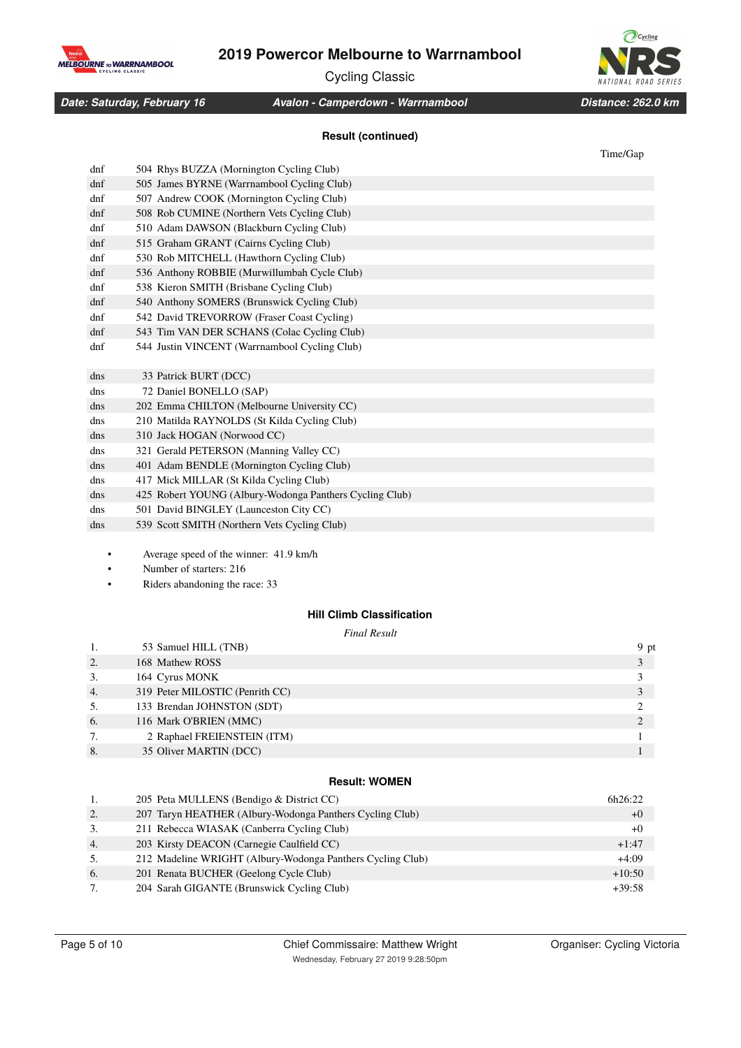MELBOURNE TO WARRNAMBOOL

Cycling Classic



*Date: Saturday, February 16 Distance: 262.0 km Avalon - Camperdown - Warrnambool*

### **Result (continued)**

|                 |                                                         | Time/Gap |
|-----------------|---------------------------------------------------------|----------|
| dnf             | 504 Rhys BUZZA (Mornington Cycling Club)                |          |
| d <sub>nf</sub> | 505 James BYRNE (Warrnambool Cycling Club)              |          |
| dnf             | 507 Andrew COOK (Mornington Cycling Club)               |          |
| d <sub>nf</sub> | 508 Rob CUMINE (Northern Vets Cycling Club)             |          |
| dnf             | 510 Adam DAWSON (Blackburn Cycling Club)                |          |
| dnf             | 515 Graham GRANT (Cairns Cycling Club)                  |          |
| dnf             | 530 Rob MITCHELL (Hawthorn Cycling Club)                |          |
| dnf             | 536 Anthony ROBBIE (Murwillumbah Cycle Club)            |          |
| dnf             | 538 Kieron SMITH (Brisbane Cycling Club)                |          |
| d <sub>nf</sub> | 540 Anthony SOMERS (Brunswick Cycling Club)             |          |
| dnf             | 542 David TREVORROW (Fraser Coast Cycling)              |          |
| dnf             | 543 Tim VAN DER SCHANS (Colac Cycling Club)             |          |
| d <sub>nf</sub> | 544 Justin VINCENT (Warrnambool Cycling Club)           |          |
| dns             | 33 Patrick BURT (DCC)                                   |          |
| dns             | 72 Daniel BONELLO (SAP)                                 |          |
| dns             | 202 Emma CHILTON (Melbourne University CC)              |          |
| dns             | 210 Matilda RAYNOLDS (St Kilda Cycling Club)            |          |
| dns             | 310 Jack HOGAN (Norwood CC)                             |          |
| dns             | 321 Gerald PETERSON (Manning Valley CC)                 |          |
| dns             | 401 Adam BENDLE (Mornington Cycling Club)               |          |
| dns             | 417 Mick MILLAR (St Kilda Cycling Club)                 |          |
| dns             | 425 Robert YOUNG (Albury-Wodonga Panthers Cycling Club) |          |
| dns             | 501 David BINGLEY (Launceston City CC)                  |          |
| dns             | 539 Scott SMITH (Northern Vets Cycling Club)            |          |
|                 |                                                         |          |

<sup>•</sup> Average speed of the winner: 41.9 km/h

- Number of starters: 216
- Riders abandoning the race: 33

## **Hill Climb Classification**

### *Final Result*

|    | 53 Samuel HILL (TNB)            | 9 pt |
|----|---------------------------------|------|
| 2. | 168 Mathew ROSS                 |      |
| 3. | 164 Cyrus MONK                  |      |
| 4. | 319 Peter MILOSTIC (Penrith CC) |      |
| 5. | 133 Brendan JOHNSTON (SDT)      |      |
| 6. | 116 Mark O'BRIEN (MMC)          |      |
| 7. | 2 Raphael FREIENSTEIN (ITM)     |      |
| 8. | 35 Oliver MARTIN (DCC)          |      |

### **Result: WOMEN**

| 1. | 205 Peta MULLENS (Bendigo & District CC)                   | 6h26:22  |
|----|------------------------------------------------------------|----------|
| 2. | 207 Taryn HEATHER (Albury-Wodonga Panthers Cycling Club)   | $+0$     |
| 3. | 211 Rebecca WIASAK (Canberra Cycling Club)                 | $+0$     |
| 4. | 203 Kirsty DEACON (Carnegie Caulfield CC)                  | $+1:47$  |
| 5. | 212 Madeline WRIGHT (Albury-Wodonga Panthers Cycling Club) | $+4:09$  |
| 6. | 201 Renata BUCHER (Geelong Cycle Club)                     | $+10:50$ |
| 7. | 204 Sarah GIGANTE (Brunswick Cycling Club)                 | $+39:58$ |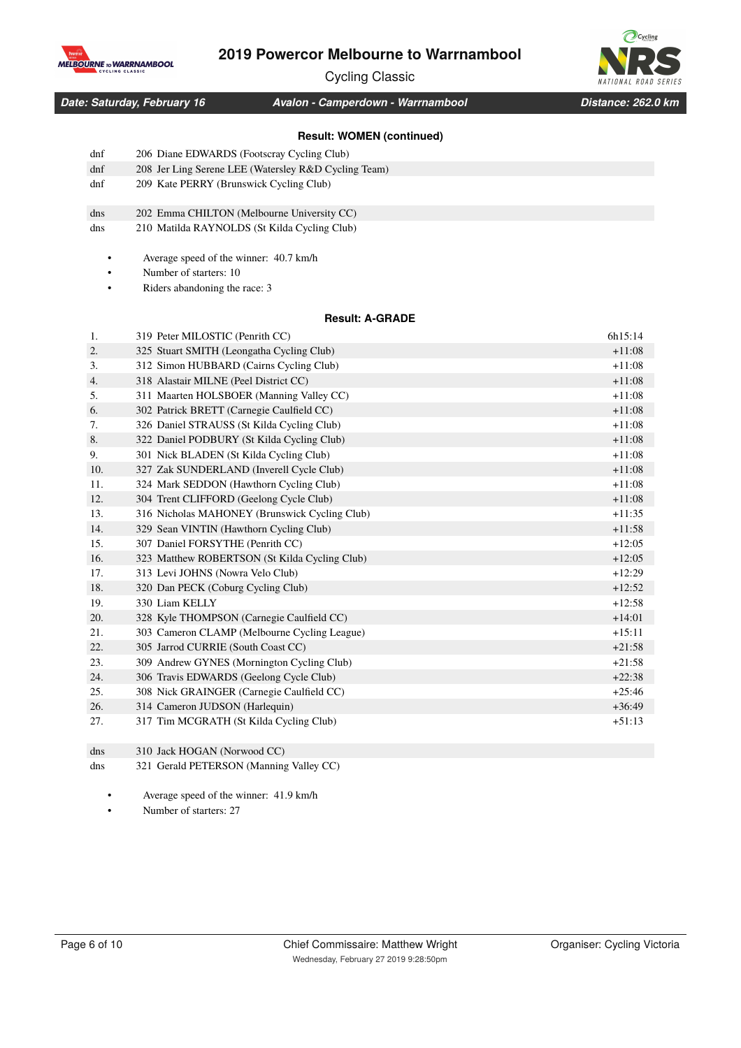

Cycling Classic



*Date: Saturday, February 16 Distance: 262.0 km Avalon - Camperdown - Warrnambool*

# **Result: WOMEN (continued)**

|     | Result: WOMEN (CONTINUED)                            |          |
|-----|------------------------------------------------------|----------|
| dnf | 206 Diane EDWARDS (Footscray Cycling Club)           |          |
| dnf | 208 Jer Ling Serene LEE (Watersley R&D Cycling Team) |          |
| dnf | 209 Kate PERRY (Brunswick Cycling Club)              |          |
|     |                                                      |          |
| dns | 202 Emma CHILTON (Melbourne University CC)           |          |
| dns | 210 Matilda RAYNOLDS (St Kilda Cycling Club)         |          |
|     |                                                      |          |
|     | Average speed of the winner: 40.7 km/h               |          |
|     | Number of starters: 10                               |          |
|     | Riders abandoning the race: 3                        |          |
|     | <b>Result: A-GRADE</b>                               |          |
| 1.  | 319 Peter MILOSTIC (Penrith CC)                      | 6h15:14  |
| 2.  | 325 Stuart SMITH (Leongatha Cycling Club)            | $+11:08$ |
| 3.  | 312 Simon HUBBARD (Cairns Cycling Club)              | $+11:08$ |
| 4.  | 318 Alastair MILNE (Peel District CC)                | $+11:08$ |
| 5.  | 311 Maarten HOLSBOER (Manning Valley CC)             | $+11:08$ |
| 6.  | 302 Patrick BRETT (Carnegie Caulfield CC)            | $+11:08$ |
| 7.  | 326 Daniel STRAUSS (St Kilda Cycling Club)           | $+11:08$ |
| 8.  | 322 Daniel PODBURY (St Kilda Cycling Club)           | $+11:08$ |
| 9.  | 301 Nick BLADEN (St Kilda Cycling Club)              | $+11:08$ |
| 10. | 327 Zak SUNDERLAND (Inverell Cycle Club)             | $+11:08$ |
| 11. | 324 Mark SEDDON (Hawthorn Cycling Club)              | $+11:08$ |
| 12. | 304 Trent CLIFFORD (Geelong Cycle Club)              | $+11:08$ |
| 13. | 316 Nicholas MAHONEY (Brunswick Cycling Club)        | $+11:35$ |
| 14. | 329 Sean VINTIN (Hawthorn Cycling Club)              | $+11:58$ |
| 15. | 307 Daniel FORSYTHE (Penrith CC)                     | $+12:05$ |
| 16. | 323 Matthew ROBERTSON (St Kilda Cycling Club)        | $+12:05$ |
| 17. | 313 Levi JOHNS (Nowra Velo Club)                     | $+12:29$ |
| 18. | 320 Dan PECK (Coburg Cycling Club)                   | $+12:52$ |
| 19. | 330 Liam KELLY                                       | $+12:58$ |
| 20. | 328 Kyle THOMPSON (Carnegie Caulfield CC)            | $+14:01$ |
| 21. | 303 Cameron CLAMP (Melbourne Cycling League)         | $+15:11$ |
| 22. | 305 Jarrod CURRIE (South Coast CC)                   | $+21:58$ |
| 23. | 309 Andrew GYNES (Mornington Cycling Club)           | $+21:58$ |
| 24. | 306 Travis EDWARDS (Geelong Cycle Club)              | $+22:38$ |
| 25. | 308 Nick GRAINGER (Carnegie Caulfield CC)            | $+25:46$ |
| 26. | 314 Cameron JUDSON (Harlequin)                       | $+36:49$ |
| 27. | 317 Tim MCGRATH (St Kilda Cycling Club)              | $+51:13$ |

dns 310 Jack HOGAN (Norwood CC)

dns 321 Gerald PETERSON (Manning Valley CC)

• Average speed of the winner: 41.9 km/h

• Number of starters: 27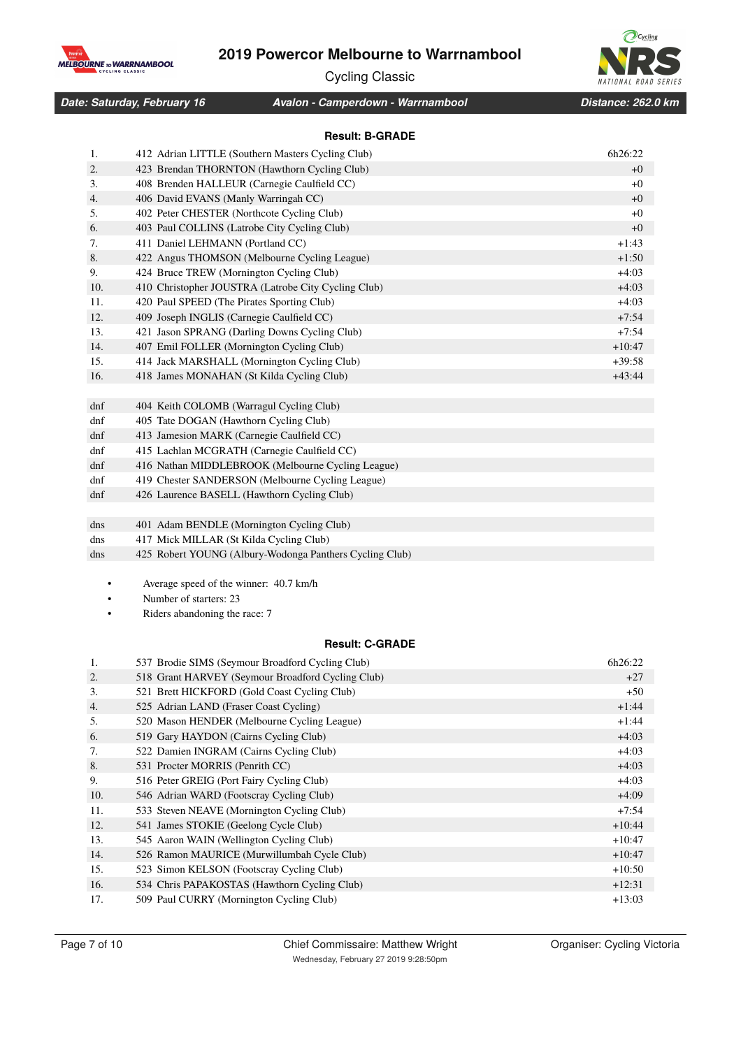

Cycling Classic



*Date: Saturday, February 16 Distance: 262.0 km Avalon - Camperdown - Warrnambool*

### **Result: B-GRADE**

| 1.  | 412 Adrian LITTLE (Southern Masters Cycling Club)       | 6h26:22  |
|-----|---------------------------------------------------------|----------|
| 2.  | 423 Brendan THORNTON (Hawthorn Cycling Club)            | $+0$     |
| 3.  | 408 Brenden HALLEUR (Carnegie Caulfield CC)             | $+0$     |
| 4.  | 406 David EVANS (Manly Warringah CC)                    | $+0$     |
| 5.  | 402 Peter CHESTER (Northcote Cycling Club)              | $+0$     |
| 6.  | 403 Paul COLLINS (Latrobe City Cycling Club)            | $+0$     |
| 7.  | 411 Daniel LEHMANN (Portland CC)                        | $+1:43$  |
| 8.  | 422 Angus THOMSON (Melbourne Cycling League)            | $+1:50$  |
| 9.  | 424 Bruce TREW (Mornington Cycling Club)                | $+4:03$  |
| 10. | 410 Christopher JOUSTRA (Latrobe City Cycling Club)     | $+4:03$  |
| 11. | 420 Paul SPEED (The Pirates Sporting Club)              | $+4:03$  |
| 12. | 409 Joseph INGLIS (Carnegie Caulfield CC)               | $+7:54$  |
| 13. | 421 Jason SPRANG (Darling Downs Cycling Club)           | $+7:54$  |
| 14. | 407 Emil FOLLER (Mornington Cycling Club)               | $+10:47$ |
| 15. | 414 Jack MARSHALL (Mornington Cycling Club)             | $+39:58$ |
| 16. | 418 James MONAHAN (St Kilda Cycling Club)               | $+43:44$ |
|     |                                                         |          |
| dnf | 404 Keith COLOMB (Warragul Cycling Club)                |          |
| dnf | 405 Tate DOGAN (Hawthorn Cycling Club)                  |          |
| dnf | 413 Jamesion MARK (Carnegie Caulfield CC)               |          |
| dnf | 415 Lachlan MCGRATH (Carnegie Caulfield CC)             |          |
| dnf | 416 Nathan MIDDLEBROOK (Melbourne Cycling League)       |          |
| dnf | 419 Chester SANDERSON (Melbourne Cycling League)        |          |
| dnf | 426 Laurence BASELL (Hawthorn Cycling Club)             |          |
|     |                                                         |          |
| dns | 401 Adam BENDLE (Mornington Cycling Club)               |          |
| dns | 417 Mick MILLAR (St Kilda Cycling Club)                 |          |
| dns | 425 Robert YOUNG (Albury-Wodonga Panthers Cycling Club) |          |
|     |                                                         |          |
|     | Average speed of the winner: 40.7 km/h                  |          |
|     | Number of starters: 23                                  |          |
|     | Riders abandoning the race: 7                           |          |
|     |                                                         |          |
|     | <b>Result: C-GRADE</b>                                  |          |

| 1.  | 537 Brodie SIMS (Seymour Broadford Cycling Club)  | 6h26:22  |
|-----|---------------------------------------------------|----------|
| 2.  | 518 Grant HARVEY (Seymour Broadford Cycling Club) | $+27$    |
| 3.  | 521 Brett HICKFORD (Gold Coast Cycling Club)      | $+50$    |
| 4.  | 525 Adrian LAND (Fraser Coast Cycling)            | $+1:44$  |
| 5.  | 520 Mason HENDER (Melbourne Cycling League)       | $+1:44$  |
| 6.  | 519 Gary HAYDON (Cairns Cycling Club)             | $+4:03$  |
| 7.  | 522 Damien INGRAM (Cairns Cycling Club)           | $+4:03$  |
| 8.  | 531 Procter MORRIS (Penrith CC)                   | $+4:03$  |
| 9.  | 516 Peter GREIG (Port Fairy Cycling Club)         | $+4:03$  |
| 10. | 546 Adrian WARD (Footscray Cycling Club)          | $+4:09$  |
| 11. | 533 Steven NEAVE (Mornington Cycling Club)        | $+7:54$  |
| 12. | 541 James STOKIE (Geelong Cycle Club)             | $+10:44$ |
| 13. | 545 Aaron WAIN (Wellington Cycling Club)          | $+10:47$ |
| 14. | 526 Ramon MAURICE (Murwillumbah Cycle Club)       | $+10:47$ |
| 15. | 523 Simon KELSON (Footscray Cycling Club)         | $+10:50$ |
| 16. | 534 Chris PAPAKOSTAS (Hawthorn Cycling Club)      | $+12:31$ |
| 17. | 509 Paul CURRY (Mornington Cycling Club)          | $+13:03$ |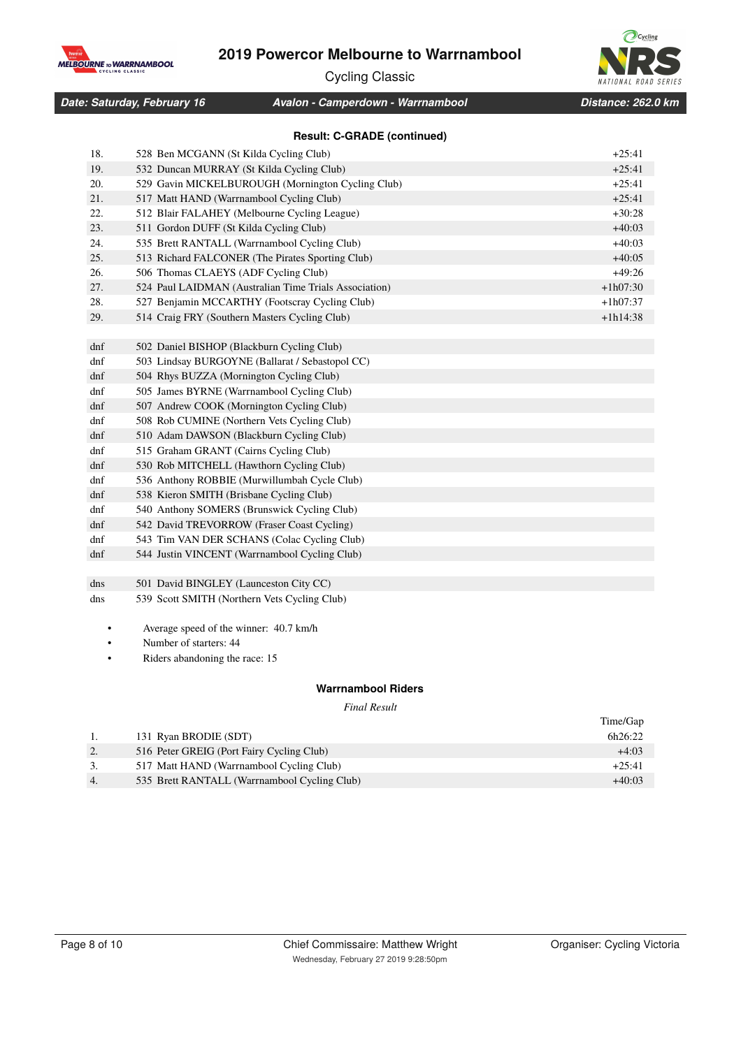

Cycling Classic



*Date: Saturday, February 16 Distance: 262.0 km Avalon - Camperdown - Warrnambool*

**Result: C-GRADE (continued)**

| 18. | 528 Ben MCGANN (St Kilda Cycling Club)                | $+25:41$   |
|-----|-------------------------------------------------------|------------|
| 19. | 532 Duncan MURRAY (St Kilda Cycling Club)             | $+25:41$   |
| 20. | 529 Gavin MICKELBUROUGH (Mornington Cycling Club)     | $+25:41$   |
| 21. | 517 Matt HAND (Warrnambool Cycling Club)              | $+25:41$   |
| 22. | 512 Blair FALAHEY (Melbourne Cycling League)          | $+30:28$   |
| 23. | 511 Gordon DUFF (St Kilda Cycling Club)               | $+40:03$   |
| 24. | 535 Brett RANTALL (Warrnambool Cycling Club)          | $+40:03$   |
| 25. | 513 Richard FALCONER (The Pirates Sporting Club)      | $+40:05$   |
| 26. | 506 Thomas CLAEYS (ADF Cycling Club)                  | $+49:26$   |
| 27. | 524 Paul LAIDMAN (Australian Time Trials Association) | $+1h07:30$ |
| 28. | 527 Benjamin MCCARTHY (Footscray Cycling Club)        | $+1h07:37$ |
| 29. | 514 Craig FRY (Southern Masters Cycling Club)         | $+1h14:38$ |
|     |                                                       |            |
| dnf | 502 Daniel BISHOP (Blackburn Cycling Club)            |            |
| dnf | 503 Lindsay BURGOYNE (Ballarat / Sebastopol CC)       |            |
| dnf | 504 Rhys BUZZA (Mornington Cycling Club)              |            |
| dnf | 505 James BYRNE (Warrnambool Cycling Club)            |            |
| dnf | 507 Andrew COOK (Mornington Cycling Club)             |            |
| dnf | 508 Rob CUMINE (Northern Vets Cycling Club)           |            |
| dnf | 510 Adam DAWSON (Blackburn Cycling Club)              |            |
| dnf | 515 Graham GRANT (Cairns Cycling Club)                |            |
| dnf | 530 Rob MITCHELL (Hawthorn Cycling Club)              |            |
| dnf | 536 Anthony ROBBIE (Murwillumbah Cycle Club)          |            |
| dnf | 538 Kieron SMITH (Brisbane Cycling Club)              |            |
| dnf | 540 Anthony SOMERS (Brunswick Cycling Club)           |            |
| dnf | 542 David TREVORROW (Fraser Coast Cycling)            |            |
| dnf | 543 Tim VAN DER SCHANS (Colac Cycling Club)           |            |
| dnf | 544 Justin VINCENT (Warrnambool Cycling Club)         |            |
|     |                                                       |            |
| dns | 501 David BINGLEY (Launceston City CC)                |            |
| dns | 539 Scott SMITH (Northern Vets Cycling Club)          |            |
|     |                                                       |            |
|     | Average speed of the winner: 40.7 km/h                |            |

Number of starters: 44

• Riders abandoning the race: 15

### **Warrnambool Riders**

*Final Result*

|                  |                                              | Time/Gap |
|------------------|----------------------------------------------|----------|
|                  | 131 Ryan BRODIE (SDT)                        | 6h26:22  |
| 2.               | 516 Peter GREIG (Port Fairy Cycling Club)    | $+4:03$  |
| 3.               | 517 Matt HAND (Warrnambool Cycling Club)     | $+25:41$ |
| $\overline{4}$ . | 535 Brett RANTALL (Warrnambool Cycling Club) | $+40:03$ |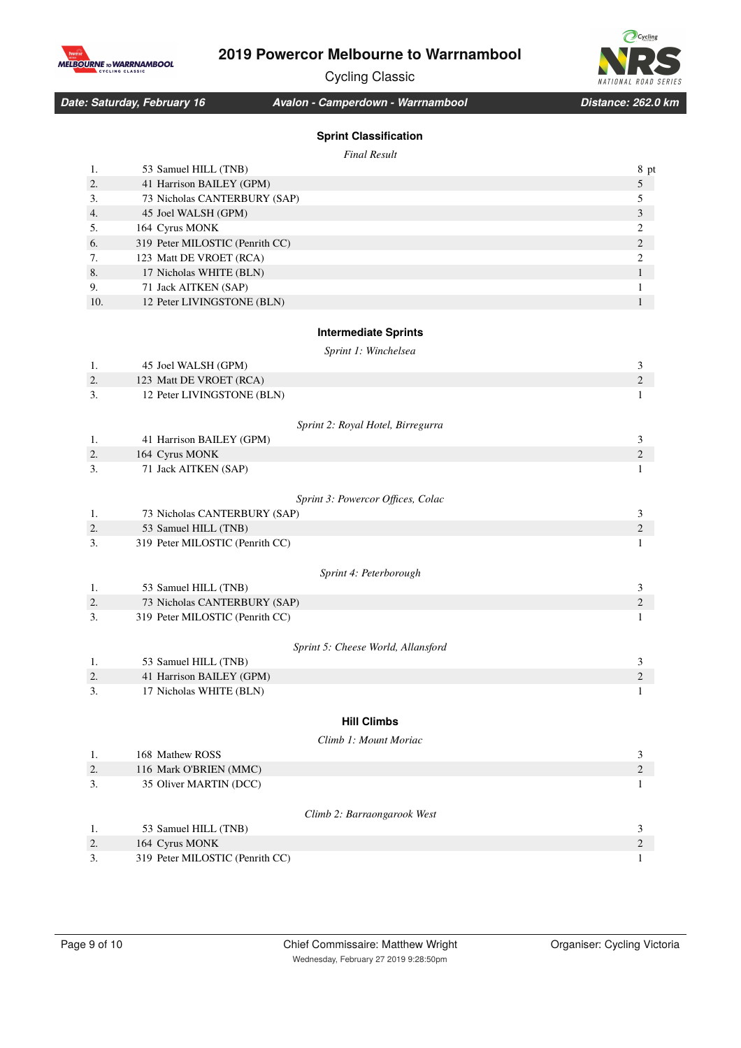

Cycling Classic



*Date: Saturday, February 16 Distance: 262.0 km Avalon - Camperdown - Warrnambool*

## **Sprint Classification**

*Final Result*

|     | Final Result                                |                  |
|-----|---------------------------------------------|------------------|
| 1.  | 53 Samuel HILL (TNB)                        | 8 pt             |
| 2.  | 41 Harrison BAILEY (GPM)                    | $\sqrt{5}$       |
| 3.  | 73 Nicholas CANTERBURY (SAP)                | 5                |
| 4.  | 45 Joel WALSH (GPM)                         | 3                |
| 5.  | 164 Cyrus MONK                              | $\mathfrak{2}$   |
| 6.  | 319 Peter MILOSTIC (Penrith CC)             | $\mathfrak{2}$   |
| 7.  | 123 Matt DE VROET (RCA)                     | $\boldsymbol{2}$ |
| 8.  | 17 Nicholas WHITE (BLN)                     | $\mathbf{1}$     |
| 9.  | 71 Jack AITKEN (SAP)                        | 1                |
| 10. | 12 Peter LIVINGSTONE (BLN)                  | $\mathbf{1}$     |
|     | <b>Intermediate Sprints</b>                 |                  |
|     |                                             |                  |
| 1.  | Sprint 1: Winchelsea<br>45 Joel WALSH (GPM) | 3                |
| 2.  | 123 Matt DE VROET (RCA)                     | $\mathfrak{2}$   |
| 3.  | 12 Peter LIVINGSTONE (BLN)                  | 1                |
|     |                                             |                  |
|     | Sprint 2: Royal Hotel, Birregurra           |                  |
| 1.  | 41 Harrison BAILEY (GPM)                    | 3                |
| 2.  | 164 Cyrus MONK                              | $\mathfrak{2}$   |
| 3.  | 71 Jack AITKEN (SAP)                        | 1                |
|     |                                             |                  |
|     | Sprint 3: Powercor Offices, Colac           |                  |
| 1.  | 73 Nicholas CANTERBURY (SAP)                | 3                |
| 2.  | 53 Samuel HILL (TNB)                        | $\mathfrak{2}$   |
| 3.  | 319 Peter MILOSTIC (Penrith CC)             | 1                |
|     | Sprint 4: Peterborough                      |                  |
| 1.  | 53 Samuel HILL (TNB)                        | 3                |
| 2.  | 73 Nicholas CANTERBURY (SAP)                | $\mathfrak{2}$   |
| 3.  | 319 Peter MILOSTIC (Penrith CC)             | 1                |
|     |                                             |                  |
|     | Sprint 5: Cheese World, Allansford          |                  |
| 1.  | 53 Samuel HILL (TNB)                        | 3                |
| 2.  | 41 Harrison BAILEY (GPM)                    | $\mathfrak{2}$   |
| 3.  | 17 Nicholas WHITE (BLN)                     | 1                |
|     |                                             |                  |
|     | <b>Hill Climbs</b>                          |                  |
|     | Climb 1: Mount Moriac                       |                  |
| 1.  | 168 Mathew ROSS                             | 3                |
| 2.  | 116 Mark O'BRIEN (MMC)                      | $\sqrt{2}$       |
| 3.  | 35 Oliver MARTIN (DCC)                      | 1                |
|     |                                             |                  |
|     | Climb 2: Barraongarook West                 |                  |
| 1.  | 53 Samuel HILL (TNB)                        | 3                |
| 2.  | 164 Cyrus MONK                              | 2                |
| 3.  | 319 Peter MILOSTIC (Penrith CC)             | 1                |